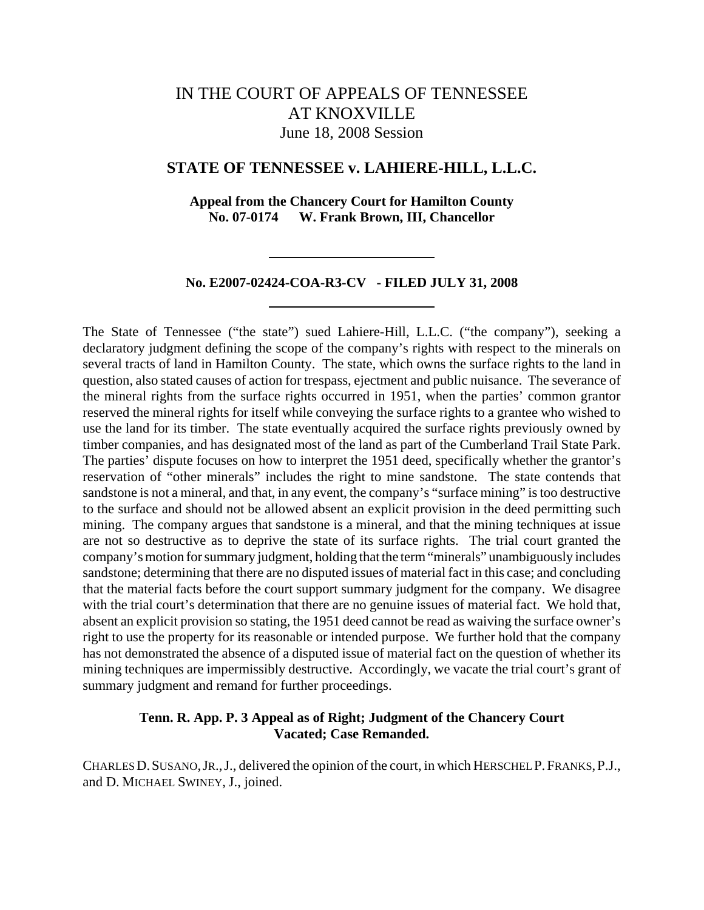# IN THE COURT OF APPEALS OF TENNESSEE AT KNOXVILLE June 18, 2008 Session

## **STATE OF TENNESSEE v. LAHIERE-HILL, L.L.C.**

**Appeal from the Chancery Court for Hamilton County No. 07-0174 W. Frank Brown, III, Chancellor**

## **No. E2007-02424-COA-R3-CV - FILED JULY 31, 2008**

The State of Tennessee ("the state") sued Lahiere-Hill, L.L.C. ("the company"), seeking a declaratory judgment defining the scope of the company's rights with respect to the minerals on several tracts of land in Hamilton County. The state, which owns the surface rights to the land in question, also stated causes of action for trespass, ejectment and public nuisance. The severance of the mineral rights from the surface rights occurred in 1951, when the parties' common grantor reserved the mineral rights for itself while conveying the surface rights to a grantee who wished to use the land for its timber. The state eventually acquired the surface rights previously owned by timber companies, and has designated most of the land as part of the Cumberland Trail State Park. The parties' dispute focuses on how to interpret the 1951 deed, specifically whether the grantor's reservation of "other minerals" includes the right to mine sandstone. The state contends that sandstone is not a mineral, and that, in any event, the company's "surface mining" is too destructive to the surface and should not be allowed absent an explicit provision in the deed permitting such mining. The company argues that sandstone is a mineral, and that the mining techniques at issue are not so destructive as to deprive the state of its surface rights. The trial court granted the company's motion for summary judgment, holding that the term "minerals" unambiguously includes sandstone; determining that there are no disputed issues of material fact in this case; and concluding that the material facts before the court support summary judgment for the company. We disagree with the trial court's determination that there are no genuine issues of material fact. We hold that, absent an explicit provision so stating, the 1951 deed cannot be read as waiving the surface owner's right to use the property for its reasonable or intended purpose. We further hold that the company has not demonstrated the absence of a disputed issue of material fact on the question of whether its mining techniques are impermissibly destructive. Accordingly, we vacate the trial court's grant of summary judgment and remand for further proceedings.

# **Tenn. R. App. P. 3 Appeal as of Right; Judgment of the Chancery Court Vacated; Case Remanded.**

CHARLES D.SUSANO,JR.,J., delivered the opinion of the court, in which HERSCHEL P.FRANKS,P.J., and D. MICHAEL SWINEY, J., joined.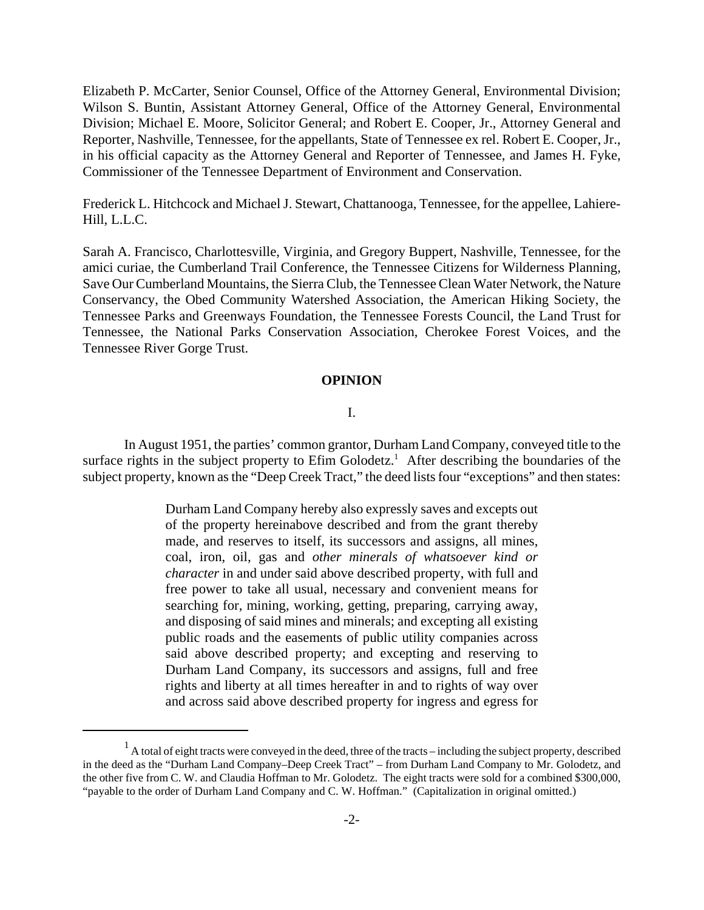Elizabeth P. McCarter, Senior Counsel, Office of the Attorney General, Environmental Division; Wilson S. Buntin, Assistant Attorney General, Office of the Attorney General, Environmental Division; Michael E. Moore, Solicitor General; and Robert E. Cooper, Jr., Attorney General and Reporter, Nashville, Tennessee, for the appellants, State of Tennessee ex rel. Robert E. Cooper, Jr., in his official capacity as the Attorney General and Reporter of Tennessee, and James H. Fyke, Commissioner of the Tennessee Department of Environment and Conservation.

Frederick L. Hitchcock and Michael J. Stewart, Chattanooga, Tennessee, for the appellee, Lahiere-Hill, L.L.C.

Sarah A. Francisco, Charlottesville, Virginia, and Gregory Buppert, Nashville, Tennessee, for the amici curiae, the Cumberland Trail Conference, the Tennessee Citizens for Wilderness Planning, Save Our Cumberland Mountains, the Sierra Club, the Tennessee Clean Water Network, the Nature Conservancy, the Obed Community Watershed Association, the American Hiking Society, the Tennessee Parks and Greenways Foundation, the Tennessee Forests Council, the Land Trust for Tennessee, the National Parks Conservation Association, Cherokee Forest Voices, and the Tennessee River Gorge Trust.

#### **OPINION**

#### I.

In August 1951, the parties' common grantor, Durham Land Company, conveyed title to the surface rights in the subject property to  $E$ fim Golodetz.<sup>1</sup> After describing the boundaries of the subject property, known as the "Deep Creek Tract," the deed lists four "exceptions" and then states:

> Durham Land Company hereby also expressly saves and excepts out of the property hereinabove described and from the grant thereby made, and reserves to itself, its successors and assigns, all mines, coal, iron, oil, gas and *other minerals of whatsoever kind or character* in and under said above described property, with full and free power to take all usual, necessary and convenient means for searching for, mining, working, getting, preparing, carrying away, and disposing of said mines and minerals; and excepting all existing public roads and the easements of public utility companies across said above described property; and excepting and reserving to Durham Land Company, its successors and assigns, full and free rights and liberty at all times hereafter in and to rights of way over and across said above described property for ingress and egress for

 $<sup>1</sup>$  A total of eight tracts were conveyed in the deed, three of the tracts – including the subject property, described</sup> in the deed as the "Durham Land Company–Deep Creek Tract" – from Durham Land Company to Mr. Golodetz, and the other five from C. W. and Claudia Hoffman to Mr. Golodetz. The eight tracts were sold for a combined \$300,000, "payable to the order of Durham Land Company and C. W. Hoffman." (Capitalization in original omitted.)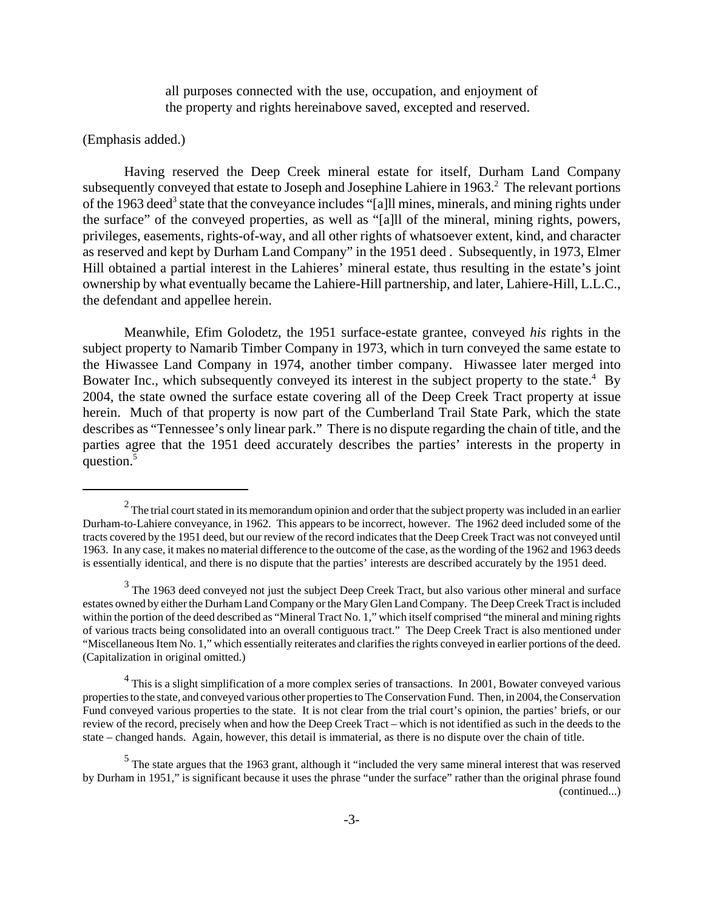all purposes connected with the use, occupation, and enjoyment of the property and rights hereinabove saved, excepted and reserved.

## (Emphasis added.)

Having reserved the Deep Creek mineral estate for itself, Durham Land Company subsequently conveyed that estate to Joseph and Josephine Lahiere in 1963.<sup>2</sup> The relevant portions of the 1963 deed<sup>3</sup> state that the conveyance includes "[a]ll mines, minerals, and mining rights under the surface" of the conveyed properties, as well as "[a]ll of the mineral, mining rights, powers, privileges, easements, rights-of-way, and all other rights of whatsoever extent, kind, and character as reserved and kept by Durham Land Company" in the 1951 deed . Subsequently, in 1973, Elmer Hill obtained a partial interest in the Lahieres' mineral estate, thus resulting in the estate's joint ownership by what eventually became the Lahiere-Hill partnership, and later, Lahiere-Hill, L.L.C., the defendant and appellee herein.

Meanwhile, Efim Golodetz, the 1951 surface-estate grantee, conveyed *his* rights in the subject property to Namarib Timber Company in 1973, which in turn conveyed the same estate to the Hiwassee Land Company in 1974, another timber company. Hiwassee later merged into Bowater Inc., which subsequently conveyed its interest in the subject property to the state.<sup>4</sup> By 2004, the state owned the surface estate covering all of the Deep Creek Tract property at issue herein. Much of that property is now part of the Cumberland Trail State Park, which the state describes as "Tennessee's only linear park." There is no dispute regarding the chain of title, and the parties agree that the 1951 deed accurately describes the parties' interests in the property in question.<sup>5</sup>

 $^2$  The trial court stated in its memorandum opinion and order that the subject property was included in an earlier Durham-to-Lahiere conveyance, in 1962. This appears to be incorrect, however. The 1962 deed included some of the tracts covered by the 1951 deed, but our review of the record indicates that the Deep Creek Tract was not conveyed until 1963. In any case, it makes no material difference to the outcome of the case, as the wording of the 1962 and 1963 deeds is essentially identical, and there is no dispute that the parties' interests are described accurately by the 1951 deed.

 $3$  The 1963 deed conveyed not just the subject Deep Creek Tract, but also various other mineral and surface estates owned by either the Durham Land Company or the Mary Glen Land Company. The Deep Creek Tract is included within the portion of the deed described as "Mineral Tract No. 1," which itself comprised "the mineral and mining rights of various tracts being consolidated into an overall contiguous tract." The Deep Creek Tract is also mentioned under "Miscellaneous Item No. 1," which essentially reiterates and clarifies the rights conveyed in earlier portions of the deed. (Capitalization in original omitted.)

<sup>&</sup>lt;sup>4</sup> This is a slight simplification of a more complex series of transactions. In 2001, Bowater conveyed various properties to the state, and conveyed various other properties to The Conservation Fund. Then, in 2004, the Conservation Fund conveyed various properties to the state. It is not clear from the trial court's opinion, the parties' briefs, or our review of the record, precisely when and how the Deep Creek Tract – which is not identified as such in the deeds to the state – changed hands. Again, however, this detail is immaterial, as there is no dispute over the chain of title.

<sup>&</sup>lt;sup>5</sup> The state argues that the 1963 grant, although it "included the very same mineral interest that was reserved by Durham in 1951," is significant because it uses the phrase "under the surface" rather than the original phrase found (continued...)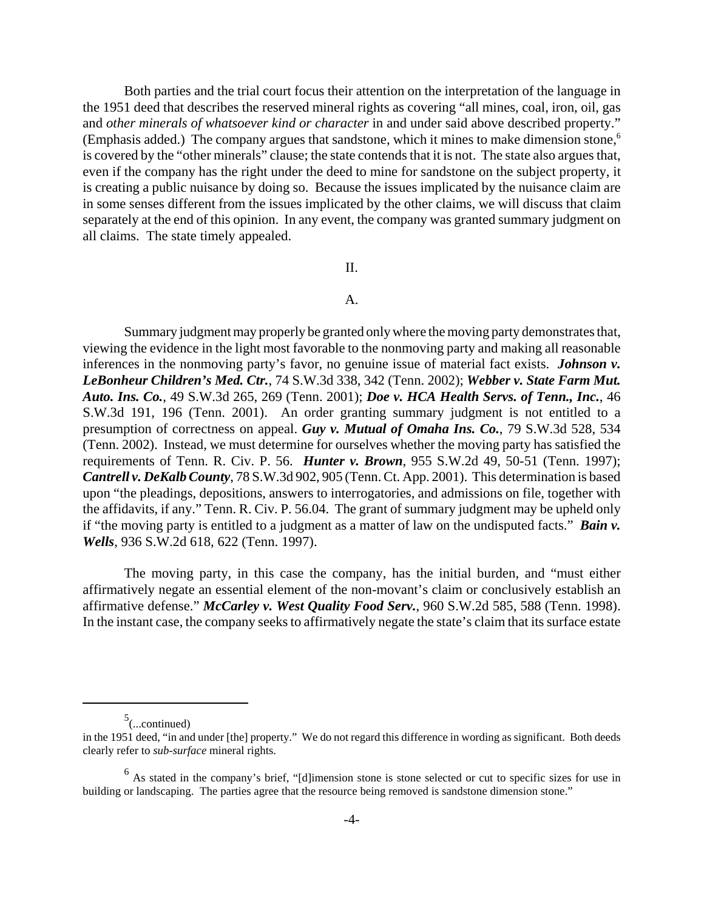Both parties and the trial court focus their attention on the interpretation of the language in the 1951 deed that describes the reserved mineral rights as covering "all mines, coal, iron, oil, gas and *other minerals of whatsoever kind or character* in and under said above described property." (Emphasis added.) The company argues that sandstone, which it mines to make dimension stone,<sup>6</sup> is covered by the "other minerals" clause; the state contends that it is not. The state also argues that, even if the company has the right under the deed to mine for sandstone on the subject property, it is creating a public nuisance by doing so. Because the issues implicated by the nuisance claim are in some senses different from the issues implicated by the other claims, we will discuss that claim separately at the end of this opinion. In any event, the company was granted summary judgment on all claims. The state timely appealed.

## II.

## A.

Summary judgment may properly be granted only where the moving party demonstrates that, viewing the evidence in the light most favorable to the nonmoving party and making all reasonable inferences in the nonmoving party's favor, no genuine issue of material fact exists. *Johnson v. LeBonheur Children's Med. Ctr.*, 74 S.W.3d 338, 342 (Tenn. 2002); *Webber v. State Farm Mut. Auto. Ins. Co.*, 49 S.W.3d 265, 269 (Tenn. 2001); *Doe v. HCA Health Servs. of Tenn., Inc.*, 46 S.W.3d 191, 196 (Tenn. 2001). An order granting summary judgment is not entitled to a presumption of correctness on appeal. *Guy v. Mutual of Omaha Ins. Co.*, 79 S.W.3d 528, 534 (Tenn. 2002). Instead, we must determine for ourselves whether the moving party has satisfied the requirements of Tenn. R. Civ. P. 56. *Hunter v. Brown*, 955 S.W.2d 49, 50-51 (Tenn. 1997); *Cantrell v. DeKalb County*, 78 S.W.3d 902, 905 (Tenn. Ct. App. 2001). This determination is based upon "the pleadings, depositions, answers to interrogatories, and admissions on file, together with the affidavits, if any." Tenn. R. Civ. P. 56.04. The grant of summary judgment may be upheld only if "the moving party is entitled to a judgment as a matter of law on the undisputed facts." *Bain v. Wells*, 936 S.W.2d 618, 622 (Tenn. 1997).

The moving party, in this case the company, has the initial burden, and "must either affirmatively negate an essential element of the non-movant's claim or conclusively establish an affirmative defense." *McCarley v. West Quality Food Serv.*, 960 S.W.2d 585, 588 (Tenn. 1998). In the instant case, the company seeks to affirmatively negate the state's claim that its surface estate

 $5$ (...continued)

in the 1951 deed, "in and under [the] property." We do not regard this difference in wording as significant. Both deeds clearly refer to *sub-surface* mineral rights.

<sup>&</sup>lt;sup>6</sup> As stated in the company's brief, "[d]imension stone is stone selected or cut to specific sizes for use in building or landscaping. The parties agree that the resource being removed is sandstone dimension stone."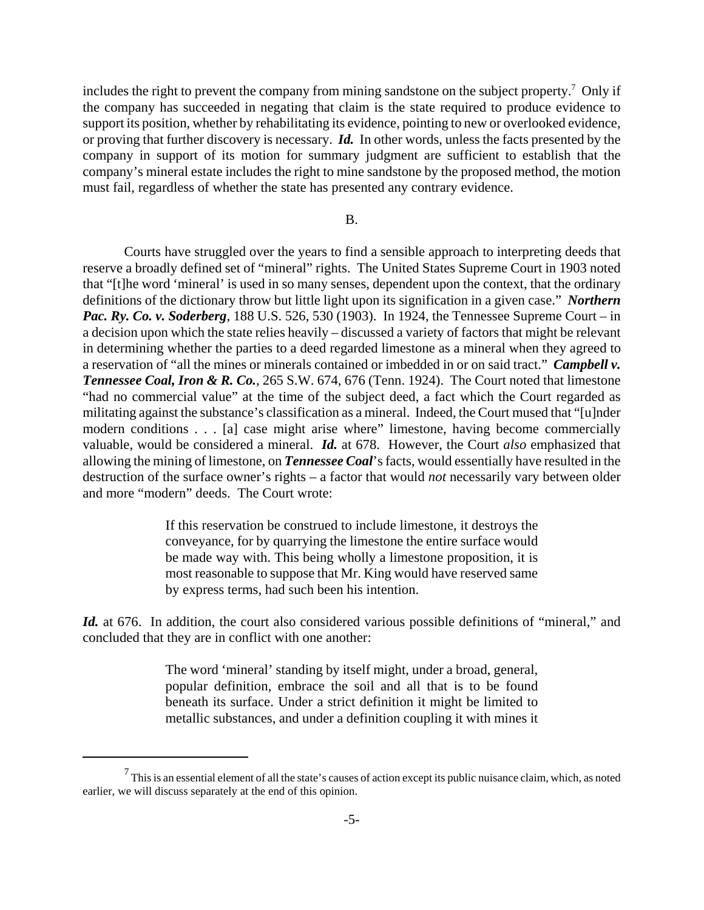includes the right to prevent the company from mining sandstone on the subject property.<sup>7</sup> Only if the company has succeeded in negating that claim is the state required to produce evidence to support its position, whether by rehabilitating its evidence, pointing to new or overlooked evidence, or proving that further discovery is necessary. *Id.* In other words, unless the facts presented by the company in support of its motion for summary judgment are sufficient to establish that the company's mineral estate includes the right to mine sandstone by the proposed method, the motion must fail, regardless of whether the state has presented any contrary evidence.

## B.

Courts have struggled over the years to find a sensible approach to interpreting deeds that reserve a broadly defined set of "mineral" rights. The United States Supreme Court in 1903 noted that "[t]he word 'mineral' is used in so many senses, dependent upon the context, that the ordinary definitions of the dictionary throw but little light upon its signification in a given case." *Northern Pac. Ry. Co. v. Soderberg*, 188 U.S. 526, 530 (1903). In 1924, the Tennessee Supreme Court – in a decision upon which the state relies heavily – discussed a variety of factors that might be relevant in determining whether the parties to a deed regarded limestone as a mineral when they agreed to a reservation of "all the mines or minerals contained or imbedded in or on said tract." *Campbell v. Tennessee Coal, Iron & R. Co.*, 265 S.W. 674, 676 (Tenn. 1924). The Court noted that limestone "had no commercial value" at the time of the subject deed, a fact which the Court regarded as militating against the substance's classification as a mineral. Indeed, the Court mused that "[u]nder modern conditions . . . [a] case might arise where" limestone, having become commercially valuable, would be considered a mineral. *Id.* at 678. However, the Court *also* emphasized that allowing the mining of limestone, on *Tennessee Coal*'s facts, would essentially have resulted in the destruction of the surface owner's rights – a factor that would *not* necessarily vary between older and more "modern" deeds. The Court wrote:

> If this reservation be construed to include limestone, it destroys the conveyance, for by quarrying the limestone the entire surface would be made way with. This being wholly a limestone proposition, it is most reasonable to suppose that Mr. King would have reserved same by express terms, had such been his intention.

Id. at 676. In addition, the court also considered various possible definitions of "mineral," and concluded that they are in conflict with one another:

> The word 'mineral' standing by itself might, under a broad, general, popular definition, embrace the soil and all that is to be found beneath its surface. Under a strict definition it might be limited to metallic substances, and under a definition coupling it with mines it

 $^7$  This is an essential element of all the state's causes of action except its public nuisance claim, which, as noted earlier, we will discuss separately at the end of this opinion.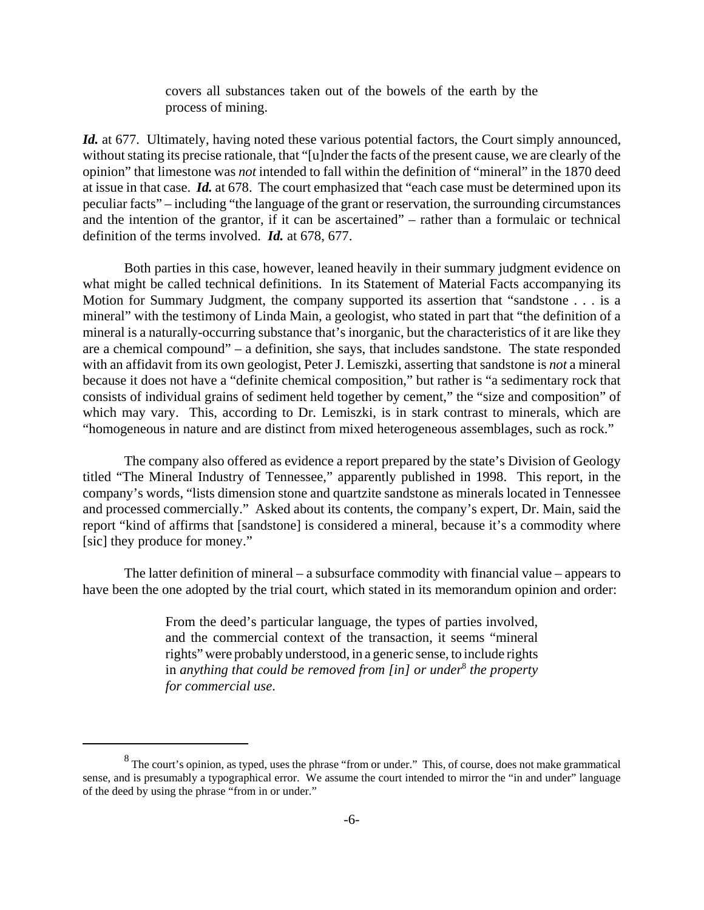covers all substances taken out of the bowels of the earth by the process of mining.

*Id.* at 677. Ultimately, having noted these various potential factors, the Court simply announced, without stating its precise rationale, that "[u]nder the facts of the present cause, we are clearly of the opinion" that limestone was *not* intended to fall within the definition of "mineral" in the 1870 deed at issue in that case. *Id.* at 678. The court emphasized that "each case must be determined upon its peculiar facts" – including "the language of the grant or reservation, the surrounding circumstances and the intention of the grantor, if it can be ascertained" – rather than a formulaic or technical definition of the terms involved. *Id.* at 678, 677.

Both parties in this case, however, leaned heavily in their summary judgment evidence on what might be called technical definitions. In its Statement of Material Facts accompanying its Motion for Summary Judgment, the company supported its assertion that "sandstone . . . is a mineral" with the testimony of Linda Main, a geologist, who stated in part that "the definition of a mineral is a naturally-occurring substance that's inorganic, but the characteristics of it are like they are a chemical compound" – a definition, she says, that includes sandstone. The state responded with an affidavit from its own geologist, Peter J. Lemiszki, asserting that sandstone is *not* a mineral because it does not have a "definite chemical composition," but rather is "a sedimentary rock that consists of individual grains of sediment held together by cement," the "size and composition" of which may vary. This, according to Dr. Lemiszki, is in stark contrast to minerals, which are "homogeneous in nature and are distinct from mixed heterogeneous assemblages, such as rock."

The company also offered as evidence a report prepared by the state's Division of Geology titled "The Mineral Industry of Tennessee," apparently published in 1998. This report, in the company's words, "lists dimension stone and quartzite sandstone as minerals located in Tennessee and processed commercially." Asked about its contents, the company's expert, Dr. Main, said the report "kind of affirms that [sandstone] is considered a mineral, because it's a commodity where [sic] they produce for money."

The latter definition of mineral – a subsurface commodity with financial value – appears to have been the one adopted by the trial court, which stated in its memorandum opinion and order:

> From the deed's particular language, the types of parties involved, and the commercial context of the transaction, it seems "mineral rights" were probably understood, in a generic sense, to include rights in *anything that could be removed from [in] or under*<sup>8</sup>  *the property for commercial use*.

 $8$  The court's opinion, as typed, uses the phrase "from or under." This, of course, does not make grammatical sense, and is presumably a typographical error. We assume the court intended to mirror the "in and under" language of the deed by using the phrase "from in or under."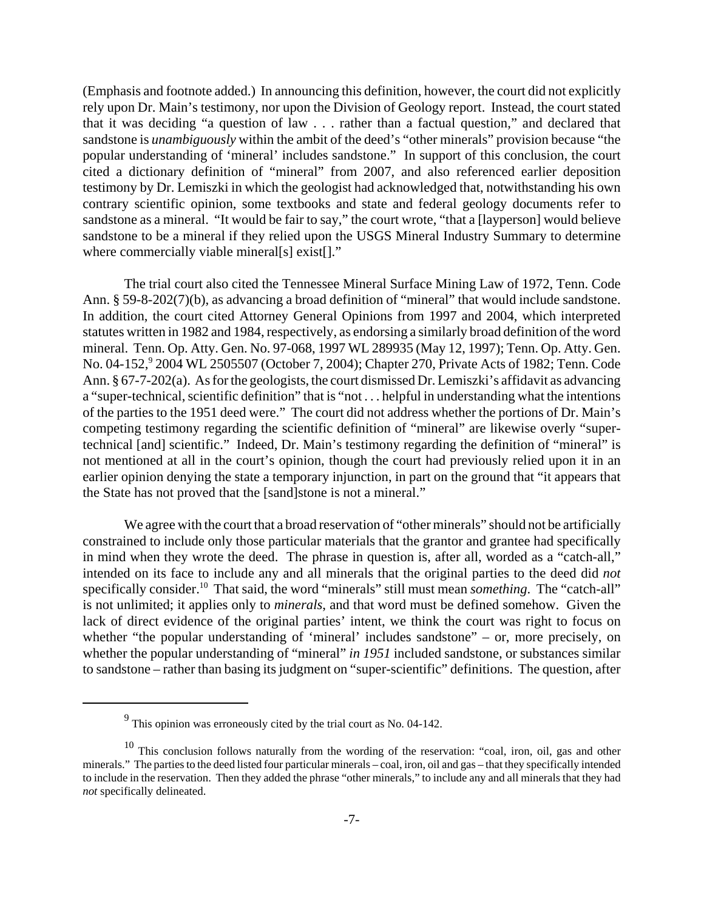(Emphasis and footnote added.) In announcing this definition, however, the court did not explicitly rely upon Dr. Main's testimony, nor upon the Division of Geology report. Instead, the court stated that it was deciding "a question of law . . . rather than a factual question," and declared that sandstone is *unambiguously* within the ambit of the deed's "other minerals" provision because "the popular understanding of 'mineral' includes sandstone." In support of this conclusion, the court cited a dictionary definition of "mineral" from 2007, and also referenced earlier deposition testimony by Dr. Lemiszki in which the geologist had acknowledged that, notwithstanding his own contrary scientific opinion, some textbooks and state and federal geology documents refer to sandstone as a mineral. "It would be fair to say," the court wrote, "that a [layperson] would believe sandstone to be a mineral if they relied upon the USGS Mineral Industry Summary to determine where commercially viable mineral[s] exist[]."

The trial court also cited the Tennessee Mineral Surface Mining Law of 1972, Tenn. Code Ann. § 59-8-202(7)(b), as advancing a broad definition of "mineral" that would include sandstone. In addition, the court cited Attorney General Opinions from 1997 and 2004, which interpreted statutes written in 1982 and 1984, respectively, as endorsing a similarly broad definition of the word mineral. Tenn. Op. Atty. Gen. No. 97-068, 1997 WL 289935 (May 12, 1997); Tenn. Op. Atty. Gen. No. 04-152,<sup>9</sup> 2004 WL 2505507 (October 7, 2004); Chapter 270, Private Acts of 1982; Tenn. Code Ann. § 67-7-202(a). As for the geologists, the court dismissed Dr. Lemiszki's affidavit as advancing a "super-technical, scientific definition" that is "not . . . helpful in understanding what the intentions of the parties to the 1951 deed were." The court did not address whether the portions of Dr. Main's competing testimony regarding the scientific definition of "mineral" are likewise overly "supertechnical [and] scientific." Indeed, Dr. Main's testimony regarding the definition of "mineral" is not mentioned at all in the court's opinion, though the court had previously relied upon it in an earlier opinion denying the state a temporary injunction, in part on the ground that "it appears that the State has not proved that the [sand]stone is not a mineral."

We agree with the court that a broad reservation of "other minerals" should not be artificially constrained to include only those particular materials that the grantor and grantee had specifically in mind when they wrote the deed. The phrase in question is, after all, worded as a "catch-all," intended on its face to include any and all minerals that the original parties to the deed did *not* specifically consider.<sup>10</sup> That said, the word "minerals" still must mean *something*. The "catch-all" is not unlimited; it applies only to *minerals*, and that word must be defined somehow. Given the lack of direct evidence of the original parties' intent, we think the court was right to focus on whether "the popular understanding of 'mineral' includes sandstone" – or, more precisely, on whether the popular understanding of "mineral" *in 1951* included sandstone, or substances similar to sandstone – rather than basing its judgment on "super-scientific" definitions. The question, after

 $9^9$  This opinion was erroneously cited by the trial court as No. 04-142.

<sup>&</sup>lt;sup>10</sup> This conclusion follows naturally from the wording of the reservation: "coal, iron, oil, gas and other minerals." The parties to the deed listed four particular minerals – coal, iron, oil and gas – that they specifically intended to include in the reservation. Then they added the phrase "other minerals," to include any and all minerals that they had *not* specifically delineated.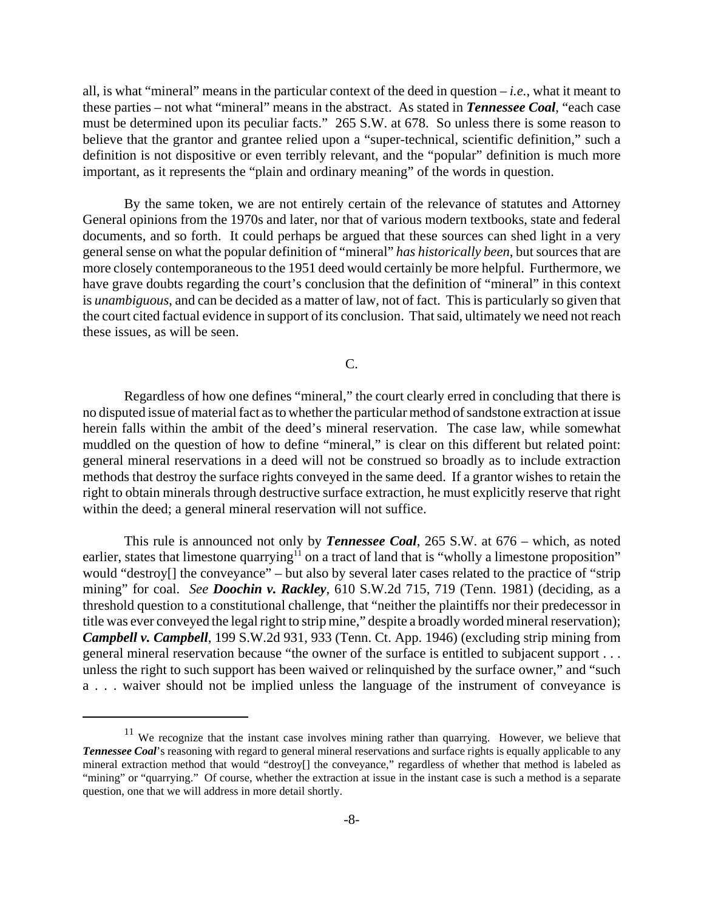all, is what "mineral" means in the particular context of the deed in question – *i.e.*, what it meant to these parties – not what "mineral" means in the abstract. As stated in *Tennessee Coal*, "each case must be determined upon its peculiar facts." 265 S.W. at 678. So unless there is some reason to believe that the grantor and grantee relied upon a "super-technical, scientific definition," such a definition is not dispositive or even terribly relevant, and the "popular" definition is much more important, as it represents the "plain and ordinary meaning" of the words in question.

By the same token, we are not entirely certain of the relevance of statutes and Attorney General opinions from the 1970s and later, nor that of various modern textbooks, state and federal documents, and so forth. It could perhaps be argued that these sources can shed light in a very general sense on what the popular definition of "mineral" *has historically been*, but sources that are more closely contemporaneous to the 1951 deed would certainly be more helpful. Furthermore, we have grave doubts regarding the court's conclusion that the definition of "mineral" in this context is *unambiguous*, and can be decided as a matter of law, not of fact. This is particularly so given that the court cited factual evidence in support of its conclusion. That said, ultimately we need not reach these issues, as will be seen.

C.

Regardless of how one defines "mineral," the court clearly erred in concluding that there is no disputed issue of material fact as to whether the particular method of sandstone extraction at issue herein falls within the ambit of the deed's mineral reservation. The case law, while somewhat muddled on the question of how to define "mineral," is clear on this different but related point: general mineral reservations in a deed will not be construed so broadly as to include extraction methods that destroy the surface rights conveyed in the same deed. If a grantor wishes to retain the right to obtain minerals through destructive surface extraction, he must explicitly reserve that right within the deed; a general mineral reservation will not suffice.

This rule is announced not only by *Tennessee Coal*, 265 S.W. at 676 – which, as noted earlier, states that limestone quarrying<sup>11</sup> on a tract of land that is "wholly a limestone proposition" would "destroy<sup>[]</sup> the conveyance" – but also by several later cases related to the practice of "strip" mining" for coal. *See Doochin v. Rackley*, 610 S.W.2d 715, 719 (Tenn. 1981) (deciding, as a threshold question to a constitutional challenge, that "neither the plaintiffs nor their predecessor in title was ever conveyed the legal right to strip mine," despite a broadly worded mineral reservation); *Campbell v. Campbell*, 199 S.W.2d 931, 933 (Tenn. Ct. App. 1946) (excluding strip mining from general mineral reservation because "the owner of the surface is entitled to subjacent support . . . unless the right to such support has been waived or relinquished by the surface owner," and "such a . . . waiver should not be implied unless the language of the instrument of conveyance is

 $11$  We recognize that the instant case involves mining rather than quarrying. However, we believe that *Tennessee Coal*'s reasoning with regard to general mineral reservations and surface rights is equally applicable to any mineral extraction method that would "destroy[] the conveyance," regardless of whether that method is labeled as "mining" or "quarrying." Of course, whether the extraction at issue in the instant case is such a method is a separate question, one that we will address in more detail shortly.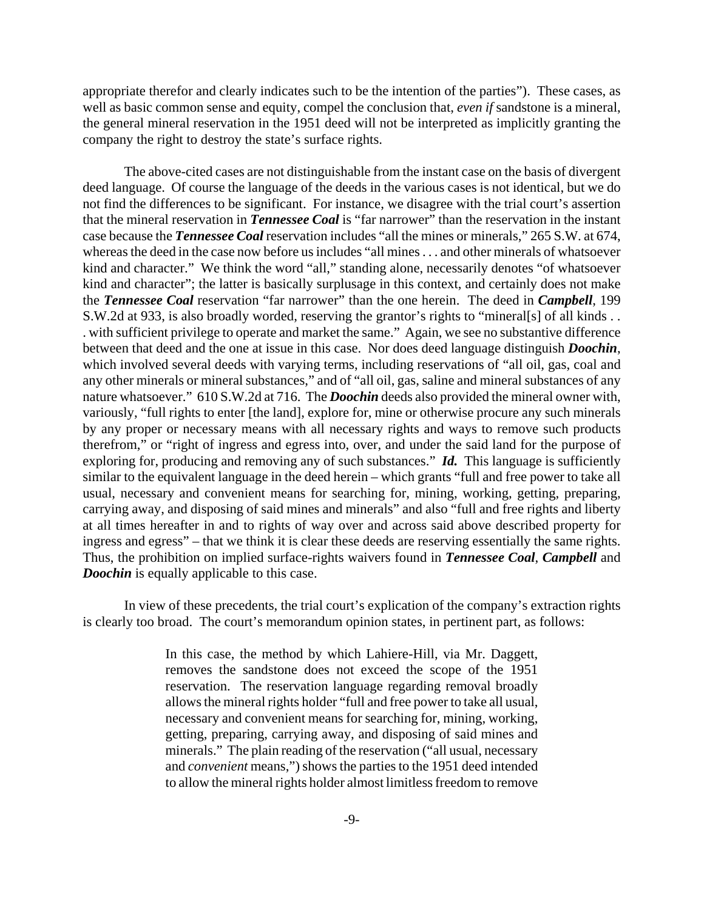appropriate therefor and clearly indicates such to be the intention of the parties"). These cases, as well as basic common sense and equity, compel the conclusion that, *even if* sandstone is a mineral, the general mineral reservation in the 1951 deed will not be interpreted as implicitly granting the company the right to destroy the state's surface rights.

The above-cited cases are not distinguishable from the instant case on the basis of divergent deed language. Of course the language of the deeds in the various cases is not identical, but we do not find the differences to be significant. For instance, we disagree with the trial court's assertion that the mineral reservation in *Tennessee Coal* is "far narrower" than the reservation in the instant case because the *Tennessee Coal* reservation includes "all the mines or minerals," 265 S.W. at 674, whereas the deed in the case now before us includes "all mines . . . and other minerals of whatsoever kind and character." We think the word "all," standing alone, necessarily denotes "of whatsoever kind and character"; the latter is basically surplusage in this context, and certainly does not make the *Tennessee Coal* reservation "far narrower" than the one herein. The deed in *Campbell*, 199 S.W.2d at 933, is also broadly worded, reserving the grantor's rights to "mineral[s] of all kinds . . . with sufficient privilege to operate and market the same." Again, we see no substantive difference between that deed and the one at issue in this case. Nor does deed language distinguish *Doochin*, which involved several deeds with varying terms, including reservations of "all oil, gas, coal and any other minerals or mineral substances," and of "all oil, gas, saline and mineral substances of any nature whatsoever." 610 S.W.2d at 716. The *Doochin* deeds also provided the mineral owner with, variously, "full rights to enter [the land], explore for, mine or otherwise procure any such minerals by any proper or necessary means with all necessary rights and ways to remove such products therefrom," or "right of ingress and egress into, over, and under the said land for the purpose of exploring for, producing and removing any of such substances." *Id.* This language is sufficiently similar to the equivalent language in the deed herein – which grants "full and free power to take all usual, necessary and convenient means for searching for, mining, working, getting, preparing, carrying away, and disposing of said mines and minerals" and also "full and free rights and liberty at all times hereafter in and to rights of way over and across said above described property for ingress and egress" – that we think it is clear these deeds are reserving essentially the same rights. Thus, the prohibition on implied surface-rights waivers found in *Tennessee Coal*, *Campbell* and *Doochin* is equally applicable to this case.

In view of these precedents, the trial court's explication of the company's extraction rights is clearly too broad. The court's memorandum opinion states, in pertinent part, as follows:

> In this case, the method by which Lahiere-Hill, via Mr. Daggett, removes the sandstone does not exceed the scope of the 1951 reservation. The reservation language regarding removal broadly allows the mineral rights holder "full and free power to take all usual, necessary and convenient means for searching for, mining, working, getting, preparing, carrying away, and disposing of said mines and minerals." The plain reading of the reservation ("all usual, necessary and *convenient* means,") shows the parties to the 1951 deed intended to allow the mineral rights holder almost limitless freedom to remove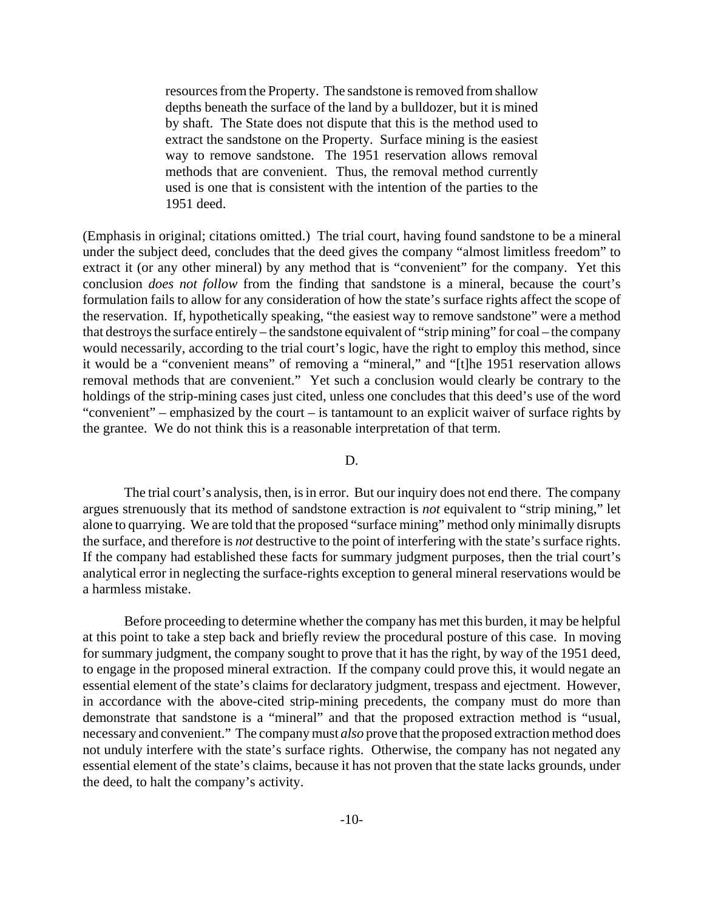resources from the Property. The sandstone is removed from shallow depths beneath the surface of the land by a bulldozer, but it is mined by shaft. The State does not dispute that this is the method used to extract the sandstone on the Property. Surface mining is the easiest way to remove sandstone. The 1951 reservation allows removal methods that are convenient. Thus, the removal method currently used is one that is consistent with the intention of the parties to the 1951 deed.

(Emphasis in original; citations omitted.) The trial court, having found sandstone to be a mineral under the subject deed, concludes that the deed gives the company "almost limitless freedom" to extract it (or any other mineral) by any method that is "convenient" for the company. Yet this conclusion *does not follow* from the finding that sandstone is a mineral, because the court's formulation fails to allow for any consideration of how the state's surface rights affect the scope of the reservation. If, hypothetically speaking, "the easiest way to remove sandstone" were a method that destroys the surface entirely – the sandstone equivalent of "strip mining" for coal – the company would necessarily, according to the trial court's logic, have the right to employ this method, since it would be a "convenient means" of removing a "mineral," and "[t]he 1951 reservation allows removal methods that are convenient." Yet such a conclusion would clearly be contrary to the holdings of the strip-mining cases just cited, unless one concludes that this deed's use of the word "convenient" – emphasized by the court – is tantamount to an explicit waiver of surface rights by the grantee. We do not think this is a reasonable interpretation of that term.

## D.

The trial court's analysis, then, is in error. But our inquiry does not end there. The company argues strenuously that its method of sandstone extraction is *not* equivalent to "strip mining," let alone to quarrying. We are told that the proposed "surface mining" method only minimally disrupts the surface, and therefore is *not* destructive to the point of interfering with the state's surface rights. If the company had established these facts for summary judgment purposes, then the trial court's analytical error in neglecting the surface-rights exception to general mineral reservations would be a harmless mistake.

Before proceeding to determine whether the company has met this burden, it may be helpful at this point to take a step back and briefly review the procedural posture of this case. In moving for summary judgment, the company sought to prove that it has the right, by way of the 1951 deed, to engage in the proposed mineral extraction. If the company could prove this, it would negate an essential element of the state's claims for declaratory judgment, trespass and ejectment. However, in accordance with the above-cited strip-mining precedents, the company must do more than demonstrate that sandstone is a "mineral" and that the proposed extraction method is "usual, necessary and convenient." The company must *also* prove that the proposed extraction method does not unduly interfere with the state's surface rights. Otherwise, the company has not negated any essential element of the state's claims, because it has not proven that the state lacks grounds, under the deed, to halt the company's activity.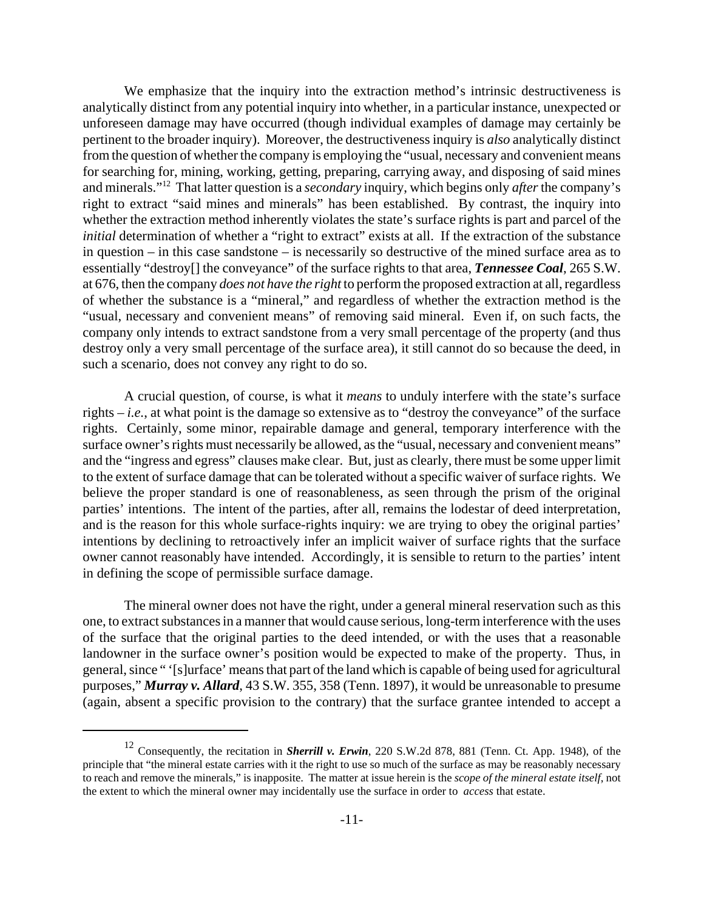We emphasize that the inquiry into the extraction method's intrinsic destructiveness is analytically distinct from any potential inquiry into whether, in a particular instance, unexpected or unforeseen damage may have occurred (though individual examples of damage may certainly be pertinent to the broader inquiry). Moreover, the destructiveness inquiry is *also* analytically distinct from the question of whether the company is employing the "usual, necessary and convenient means for searching for, mining, working, getting, preparing, carrying away, and disposing of said mines and minerals."12 That latter question is a *secondary* inquiry, which begins only *after* the company's right to extract "said mines and minerals" has been established. By contrast, the inquiry into whether the extraction method inherently violates the state's surface rights is part and parcel of the *initial* determination of whether a "right to extract" exists at all. If the extraction of the substance in question – in this case sandstone – is necessarily so destructive of the mined surface area as to essentially "destroy[] the conveyance" of the surface rights to that area, *Tennessee Coal*, 265 S.W. at 676, then the company *does not have the right* to perform the proposed extraction at all, regardless of whether the substance is a "mineral," and regardless of whether the extraction method is the "usual, necessary and convenient means" of removing said mineral. Even if, on such facts, the company only intends to extract sandstone from a very small percentage of the property (and thus destroy only a very small percentage of the surface area), it still cannot do so because the deed, in such a scenario, does not convey any right to do so.

A crucial question, of course, is what it *means* to unduly interfere with the state's surface rights – *i.e.*, at what point is the damage so extensive as to "destroy the conveyance" of the surface rights. Certainly, some minor, repairable damage and general, temporary interference with the surface owner's rights must necessarily be allowed, as the "usual, necessary and convenient means" and the "ingress and egress" clauses make clear. But, just as clearly, there must be some upper limit to the extent of surface damage that can be tolerated without a specific waiver of surface rights. We believe the proper standard is one of reasonableness, as seen through the prism of the original parties' intentions. The intent of the parties, after all, remains the lodestar of deed interpretation, and is the reason for this whole surface-rights inquiry: we are trying to obey the original parties' intentions by declining to retroactively infer an implicit waiver of surface rights that the surface owner cannot reasonably have intended. Accordingly, it is sensible to return to the parties' intent in defining the scope of permissible surface damage.

The mineral owner does not have the right, under a general mineral reservation such as this one, to extract substances in a manner that would cause serious, long-term interference with the uses of the surface that the original parties to the deed intended, or with the uses that a reasonable landowner in the surface owner's position would be expected to make of the property. Thus, in general, since " '[s]urface' means that part of the land which is capable of being used for agricultural purposes," *Murray v. Allard*, 43 S.W. 355, 358 (Tenn. 1897), it would be unreasonable to presume (again, absent a specific provision to the contrary) that the surface grantee intended to accept a

<sup>12</sup> Consequently, the recitation in *Sherrill v. Erwin*, 220 S.W.2d 878, 881 (Tenn. Ct. App. 1948), of the principle that "the mineral estate carries with it the right to use so much of the surface as may be reasonably necessary to reach and remove the minerals," is inapposite. The matter at issue herein is the *scope of the mineral estate itself*, not the extent to which the mineral owner may incidentally use the surface in order to *access* that estate.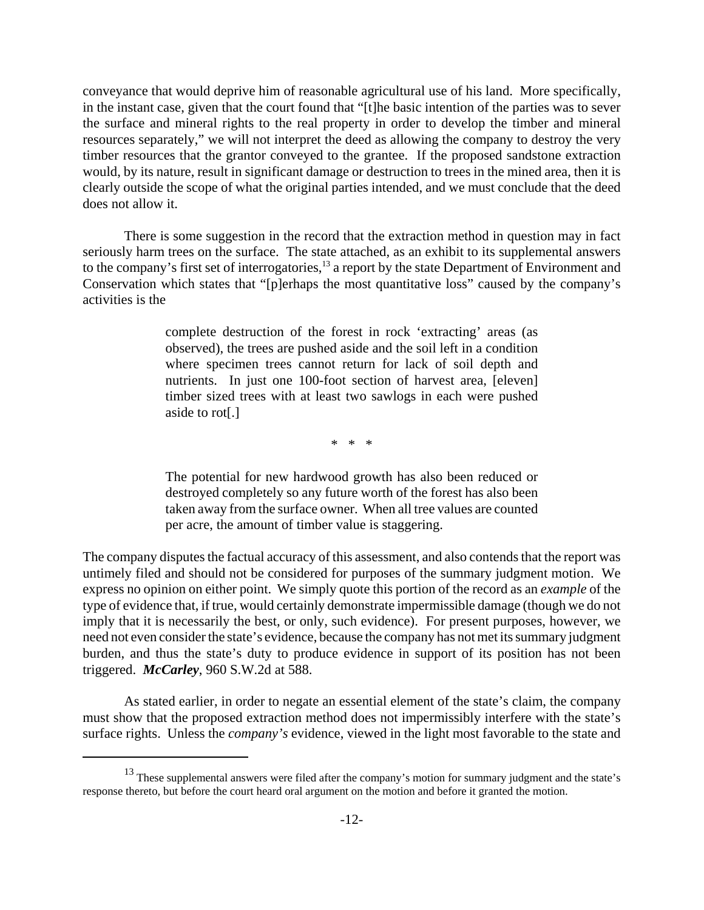conveyance that would deprive him of reasonable agricultural use of his land. More specifically, in the instant case, given that the court found that "[t]he basic intention of the parties was to sever the surface and mineral rights to the real property in order to develop the timber and mineral resources separately," we will not interpret the deed as allowing the company to destroy the very timber resources that the grantor conveyed to the grantee. If the proposed sandstone extraction would, by its nature, result in significant damage or destruction to trees in the mined area, then it is clearly outside the scope of what the original parties intended, and we must conclude that the deed does not allow it.

There is some suggestion in the record that the extraction method in question may in fact seriously harm trees on the surface. The state attached, as an exhibit to its supplemental answers to the company's first set of interrogatories,<sup>13</sup> a report by the state Department of Environment and Conservation which states that "[p]erhaps the most quantitative loss" caused by the company's activities is the

> complete destruction of the forest in rock 'extracting' areas (as observed), the trees are pushed aside and the soil left in a condition where specimen trees cannot return for lack of soil depth and nutrients. In just one 100-foot section of harvest area, [eleven] timber sized trees with at least two sawlogs in each were pushed aside to rot[.]

> > \* \* \*

The potential for new hardwood growth has also been reduced or destroyed completely so any future worth of the forest has also been taken away from the surface owner. When all tree values are counted per acre, the amount of timber value is staggering.

The company disputes the factual accuracy of this assessment, and also contends that the report was untimely filed and should not be considered for purposes of the summary judgment motion. We express no opinion on either point. We simply quote this portion of the record as an *example* of the type of evidence that, if true, would certainly demonstrate impermissible damage (though we do not imply that it is necessarily the best, or only, such evidence). For present purposes, however, we need not even consider the state's evidence, because the company has not met its summary judgment burden, and thus the state's duty to produce evidence in support of its position has not been triggered. *McCarley*, 960 S.W.2d at 588.

As stated earlier, in order to negate an essential element of the state's claim, the company must show that the proposed extraction method does not impermissibly interfere with the state's surface rights. Unless the *company's* evidence, viewed in the light most favorable to the state and

<sup>&</sup>lt;sup>13</sup> These supplemental answers were filed after the company's motion for summary judgment and the state's response thereto, but before the court heard oral argument on the motion and before it granted the motion.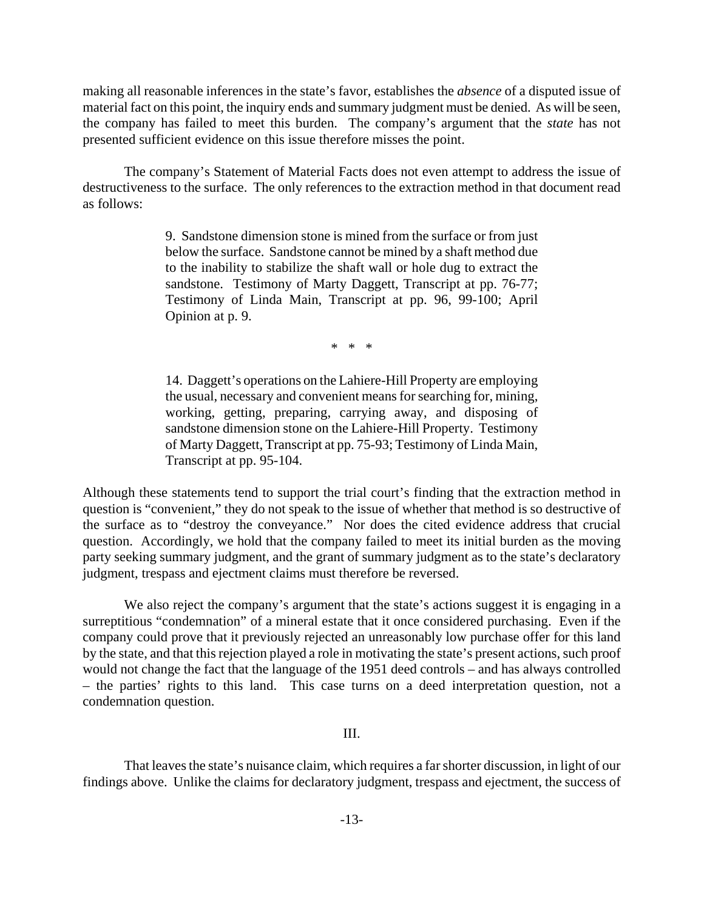making all reasonable inferences in the state's favor, establishes the *absence* of a disputed issue of material fact on this point, the inquiry ends and summary judgment must be denied. As will be seen, the company has failed to meet this burden. The company's argument that the *state* has not presented sufficient evidence on this issue therefore misses the point.

The company's Statement of Material Facts does not even attempt to address the issue of destructiveness to the surface. The only references to the extraction method in that document read as follows:

> 9. Sandstone dimension stone is mined from the surface or from just below the surface. Sandstone cannot be mined by a shaft method due to the inability to stabilize the shaft wall or hole dug to extract the sandstone. Testimony of Marty Daggett, Transcript at pp. 76-77; Testimony of Linda Main, Transcript at pp. 96, 99-100; April Opinion at p. 9.

> > \* \* \*

14. Daggett's operations on the Lahiere-Hill Property are employing the usual, necessary and convenient means for searching for, mining, working, getting, preparing, carrying away, and disposing of sandstone dimension stone on the Lahiere-Hill Property. Testimony of Marty Daggett, Transcript at pp. 75-93; Testimony of Linda Main, Transcript at pp. 95-104.

Although these statements tend to support the trial court's finding that the extraction method in question is "convenient," they do not speak to the issue of whether that method is so destructive of the surface as to "destroy the conveyance." Nor does the cited evidence address that crucial question. Accordingly, we hold that the company failed to meet its initial burden as the moving party seeking summary judgment, and the grant of summary judgment as to the state's declaratory judgment, trespass and ejectment claims must therefore be reversed.

We also reject the company's argument that the state's actions suggest it is engaging in a surreptitious "condemnation" of a mineral estate that it once considered purchasing. Even if the company could prove that it previously rejected an unreasonably low purchase offer for this land by the state, and that this rejection played a role in motivating the state's present actions, such proof would not change the fact that the language of the 1951 deed controls – and has always controlled – the parties' rights to this land. This case turns on a deed interpretation question, not a condemnation question.

# III.

That leaves the state's nuisance claim, which requires a far shorter discussion, in light of our findings above. Unlike the claims for declaratory judgment, trespass and ejectment, the success of